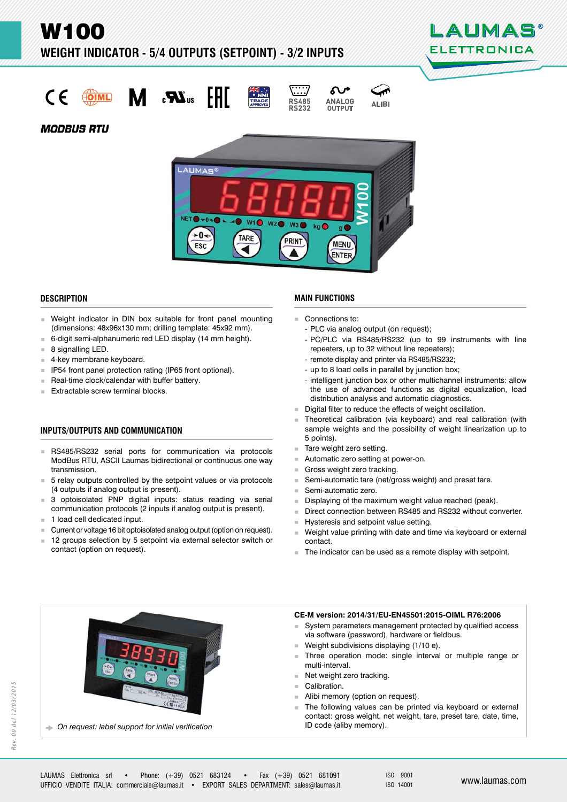W100

**WEIGHT INDICATOR - 5/4 OUTPUTS (SETPOINT) - 3/2 INPUTS** 



 $\epsilon$ **COIML** 

 $\mathbf{r}$ 



**ALIBI** 

**NALOG** 

**OUTPUT** 

**MODBUS RTU** 



#### **DESCRIPTION ESCRIPTION**

- **Weight indicator in DIN box suitable for front panel mounting** (dimensions: 48x96x130 mm; drilling template: 45x92 mm).
- 6-digit semi-alphanumeric red LED display (14 mm height).
- 8 signalling LED.
- 4-key membrane keyboard.
- **IF54** front panel protection rating (IP65 front optional).
- Real-time clock/calendar with buffer battery.
- $E$ xtractable screw terminal blocks.

## **INPUTS/OUTPUTS AND COMMUNICATION NPUTS/OUTPUTS AND**

- RS485/RS232 serial ports for communication via protocols ModBus RTU, ASCII Laumas bidirectional or continuous one way transmission.
- 5 relay outputs controlled by the setpoint values or via protocols (4 outputs if analog output is present).
- 3 optoisolated PNP digital inputs: status reading via serial communication protocols (2 inputs if analog output is present).
- 1 load cell dedicated input.
- Current or voltage 16 bit optoisolated analog output (option on request).
- 12 groups selection by 5 setpoint via external selector switch or contact (option on request).

#### **MAIN FUNCTIONS**

- Connections to:
	- PLC via analog output (on request);
	- PC/PLC via RS485/RS232 (up to 99 instruments with line repeaters, up to 32 without line repeaters);
	- remote display and printer via RS485/RS232;
	- up to 8 load cells in parallel by junction box;
	- intelligent junction box or other multichannel instruments: allow the use of advanced functions as digital equalization, load distribution analysis and automatic diagnostics.
- Digital filter to reduce the effects of weight oscillation.
- Theoretical calibration (via keyboard) and real calibration (with sample weights and the possibility of weight linearization up to 5 points).
- Tare weight zero setting.
- Automatic zero setting at power-on.
- Gross weight zero tracking.
- Semi-automatic tare (net/gross weight) and preset tare.
- Semi-automatic zero.
- Displaying of the maximum weight value reached (peak).
- Direct connection between RS485 and RS232 without converter.
- Hysteresis and setpoint value setting.<br>Neight value printing with date and time
- Weight value printing with date and time via keyboard or external contact.
- The indicator can be used as a remote display with setpoint.

## **CE-M version: 2014/31/EU-EN45501:2015-OIML R76:2006**

- System parameters management protected by qualified access via software (password), hardware or fieldbus.
- Weight subdivisions displaying (1/10 e).
- Three operation mode: single interval or multiple range or multi-interval.
- Net weight zero tracking.
- Calibration.
- Alibi memory (option on request).
- The following values can be printed via keyboard or external contact: gross weight, net weight, tare, preset tare, date, time,



ID code (aliby memory). *On request: label support for initial verification*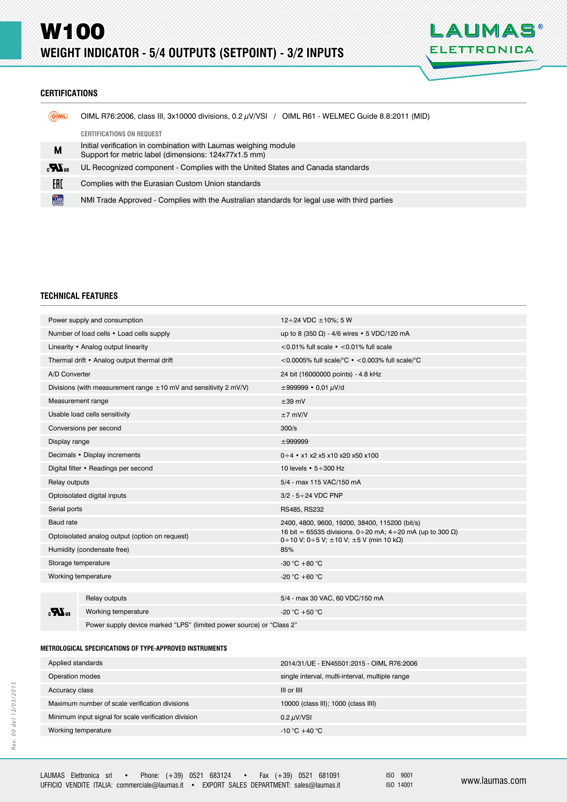

## **CERTIFICATIONS ERTIFICATIONS**

| OIML             | OIML R76:2006, class III, 3x10000 divisions, 0.2 $\mu$ V/VSI / OIML R61 - WELMEC Guide 8.8:2011 (MID)                   |
|------------------|-------------------------------------------------------------------------------------------------------------------------|
|                  | <b>CERTIFICATIONS ON REQUEST</b>                                                                                        |
| M                | Initial verification in combination with Laumas weighing module<br>Support for metric label (dimensions: 124x77x1.5 mm) |
| $\boldsymbol{H}$ | UL Recognized component - Complies with the United States and Canada standards                                          |
| EAD              | Complies with the Eurasian Custom Union standards                                                                       |
| <b>TRADE</b>     | NMI Trade Approved - Complies with the Australian standards for legal use with third parties                            |

#### **TECHNICAL FEATURES**

| Power supply and consumption                                          |                     | $12 \div 24$ VDC $\pm 10\%$ : 5 W                                                                                    |  |
|-----------------------------------------------------------------------|---------------------|----------------------------------------------------------------------------------------------------------------------|--|
| Number of load cells • Load cells supply                              |                     | up to 8 (350 $\Omega$ ) - 4/6 wires • 5 VDC/120 mA                                                                   |  |
| Linearity • Analog output linearity                                   |                     | <0.01% full scale $\cdot$ <0.01% full scale                                                                          |  |
| Thermal drift • Analog output thermal drift                           |                     | <0.0005% full scale/°C $\cdot$ <0.003% full scale/°C                                                                 |  |
| A/D Converter                                                         |                     | 24 bit (16000000 points) - 4.8 kHz                                                                                   |  |
| Divisions (with measurement range $\pm$ 10 mV and sensitivity 2 mV/V) |                     | $\pm 999999 \cdot 0.01 \mu V/d$                                                                                      |  |
| Measurement range                                                     |                     | $\pm 39$ mV                                                                                                          |  |
| Usable load cells sensitivity                                         |                     | $±7$ mV/V                                                                                                            |  |
| Conversions per second                                                |                     | 300/s                                                                                                                |  |
| Display range                                                         |                     | ±999999                                                                                                              |  |
| Decimals • Display increments                                         |                     | $0 \div 4$ • x1 x2 x5 x10 x20 x50 x100                                                                               |  |
| Digital filter • Readings per second                                  |                     | 10 levels $\cdot$ 5 $\div$ 300 Hz                                                                                    |  |
| Relay outputs                                                         |                     | 5/4 - max 115 VAC/150 mA                                                                                             |  |
| Optoisolated digital inputs                                           |                     | $3/2 - 5 \div 24$ VDC PNP                                                                                            |  |
| Serial ports                                                          |                     | RS485, RS232                                                                                                         |  |
| Baud rate                                                             |                     | 2400, 4800, 9600, 19200, 38400, 115200 (bit/s)                                                                       |  |
| Optoisolated analog output (option on request)                        |                     | 16 bit = 65535 divisions. 0 ÷ 20 mA; 4 ÷ 20 mA (up to 300 Ω)<br>0 ÷ 10 V; 0 ÷ 5 V; $\pm$ 10 V; $\pm$ 5 V (min 10 kΩ) |  |
| Humidity (condensate free)                                            |                     | 85%                                                                                                                  |  |
| Storage temperature                                                   |                     | -30 °C + 80 °C                                                                                                       |  |
| Working temperature                                                   |                     | $-20 °C + 60 °C$                                                                                                     |  |
|                                                                       |                     |                                                                                                                      |  |
| $\mathbf{R}^n$                                                        | Relay outputs       | 5/4 - max 30 VAC, 60 VDC/150 mA                                                                                      |  |
|                                                                       | Working temperature | -20 °C +50 °C                                                                                                        |  |
|                                                                       |                     |                                                                                                                      |  |

Power supply device marked "LPS" (limited power source) or "Class 2"

#### **METROLOGICAL SPECIFICATIONS OF TYPE-APPROVED INSTRUMENTS ETROLOGICAL SPECIFICATIONS OF TYPE-APPROVED**

| Applied standards                                    | 2014/31/UE - EN45501:2015 - OIML R76:2006       |
|------------------------------------------------------|-------------------------------------------------|
| Operation modes                                      | single interval, multi-interval, multiple range |
| Accuracy class                                       | III or IIII                                     |
| Maximum number of scale verification divisions       | 10000 (class III); 1000 (class IIII)            |
| Minimum input signal for scale verification division | 0.2 $\mu$ V/VSI                                 |
| Working temperature                                  | $-10\degree C + 40\degree C$                    |